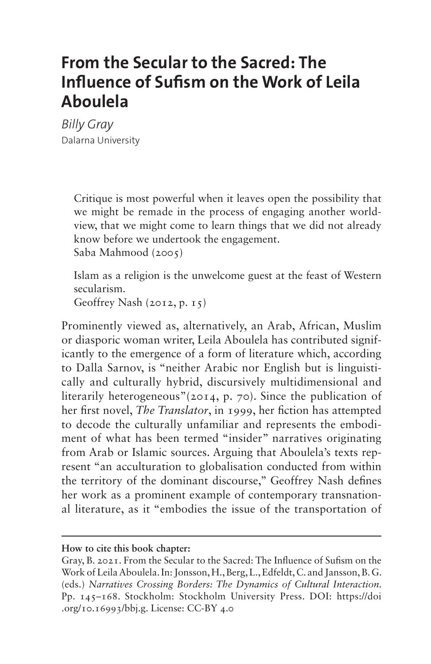# **From the Secular to the Sacred: The Influence of Sufism on the Work of Leila Aboulela**

*Billy Gray* Dalarna University

> Critique is most powerful when it leaves open the possibility that we might be remade in the process of engaging another worldview, that we might come to learn things that we did not already know before we undertook the engagement. Saba Mahmood (2005)

> Islam as a religion is the unwelcome guest at the feast of Western secularism.

Geoffrey Nash (2012, p. 15)

Prominently viewed as, alternatively, an Arab, African, Muslim or diasporic woman writer, Leila Aboulela has contributed significantly to the emergence of a form of literature which, according to Dalla Sarnov, is "neither Arabic nor English but is linguistically and culturally hybrid, discursively multidimensional and literarily heterogeneous"(2014, p. 70). Since the publication of her first novel, *The Translator*, in 1999, her fiction has attempted to decode the culturally unfamiliar and represents the embodiment of what has been termed "insider" narratives originating from Arab or Islamic sources. Arguing that Aboulela's texts represent "an acculturation to globalisation conducted from within the territory of the dominant discourse," Geoffrey Nash defines her work as a prominent example of contemporary transnational literature, as it "embodies the issue of the transportation of

**How to cite this book chapter:**

Gray, B. 2021. From the Secular to the Sacred: The Influence of Sufism on the Work of Leila Aboulela. In: Jonsson, H., Berg, L., Edfeldt, C. and Jansson, B. G. (eds.) *Narratives Crossing Borders: The Dynamics of Cultural Interaction.*  Pp. 145–168. Stockholm: Stockholm University Press. DOI: [https://doi](https://doi.org/10.16993/bbj.g) [.org/10.16993/bbj.g](https://doi.org/10.16993/bbj.g). License: CC-BY 4.0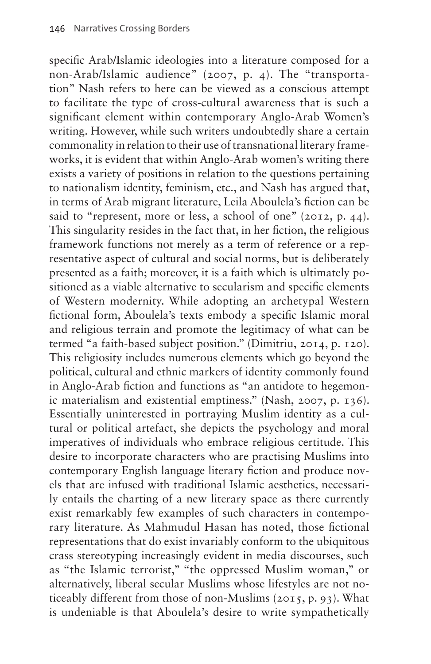specific Arab/Islamic ideologies into a literature composed for a non-Arab/Islamic audience" (2007, p. 4). The "transportation" Nash refers to here can be viewed as a conscious attempt to facilitate the type of cross-cultural awareness that is such a significant element within contemporary Anglo-Arab Women's writing. However, while such writers undoubtedly share a certain commonality in relation to their use of transnational literary frameworks, it is evident that within Anglo-Arab women's writing there exists a variety of positions in relation to the questions pertaining to nationalism identity, feminism, etc., and Nash has argued that, in terms of Arab migrant literature, Leila Aboulela's fiction can be said to "represent, more or less, a school of one" (2012, p. 44). This singularity resides in the fact that, in her fiction, the religious framework functions not merely as a term of reference or a representative aspect of cultural and social norms, but is deliberately presented as a faith; moreover, it is a faith which is ultimately positioned as a viable alternative to secularism and specific elements of Western modernity. While adopting an archetypal Western fictional form, Aboulela's texts embody a specific Islamic moral and religious terrain and promote the legitimacy of what can be termed "a faith-based subject position." (Dimitriu, 2014, p. 120). This religiosity includes numerous elements which go beyond the political, cultural and ethnic markers of identity commonly found in Anglo-Arab fiction and functions as "an antidote to hegemonic materialism and existential emptiness." (Nash, 2007, p. 136). Essentially uninterested in portraying Muslim identity as a cultural or political artefact, she depicts the psychology and moral imperatives of individuals who embrace religious certitude. This desire to incorporate characters who are practising Muslims into contemporary English language literary fiction and produce novels that are infused with traditional Islamic aesthetics, necessarily entails the charting of a new literary space as there currently exist remarkably few examples of such characters in contemporary literature. As Mahmudul Hasan has noted, those fictional representations that do exist invariably conform to the ubiquitous crass stereotyping increasingly evident in media discourses, such as "the Islamic terrorist," "the oppressed Muslim woman," or alternatively, liberal secular Muslims whose lifestyles are not noticeably different from those of non-Muslims (2015, p. 93). What is undeniable is that Aboulela's desire to write sympathetically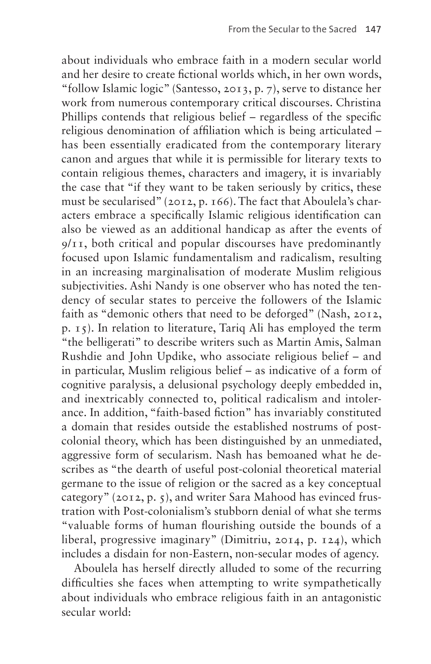about individuals who embrace faith in a modern secular world and her desire to create fictional worlds which, in her own words, "follow Islamic logic" (Santesso, 2013, p. 7), serve to distance her work from numerous contemporary critical discourses. Christina Phillips contends that religious belief – regardless of the specific religious denomination of affiliation which is being articulated – has been essentially eradicated from the contemporary literary canon and argues that while it is permissible for literary texts to contain religious themes, characters and imagery, it is invariably the case that "if they want to be taken seriously by critics, these must be secularised" (2012, p. 166). The fact that Aboulela's characters embrace a specifically Islamic religious identification can also be viewed as an additional handicap as after the events of 9/11, both critical and popular discourses have predominantly focused upon Islamic fundamentalism and radicalism, resulting in an increasing marginalisation of moderate Muslim religious subjectivities. Ashi Nandy is one observer who has noted the tendency of secular states to perceive the followers of the Islamic faith as "demonic others that need to be deforged" (Nash, 2012, p. 15). In relation to literature, Tariq Ali has employed the term "the belligerati" to describe writers such as Martin Amis, Salman Rushdie and John Updike, who associate religious belief – and in particular, Muslim religious belief – as indicative of a form of cognitive paralysis, a delusional psychology deeply embedded in, and inextricably connected to, political radicalism and intolerance. In addition, "faith-based fiction" has invariably constituted a domain that resides outside the established nostrums of postcolonial theory, which has been distinguished by an unmediated, aggressive form of secularism. Nash has bemoaned what he describes as "the dearth of useful post-colonial theoretical material germane to the issue of religion or the sacred as a key conceptual category" (2012, p. 5), and writer Sara Mahood has evinced frustration with Post-colonialism's stubborn denial of what she terms "valuable forms of human flourishing outside the bounds of a liberal, progressive imaginary" (Dimitriu, 2014, p. 124), which includes a disdain for non-Eastern, non-secular modes of agency.

Aboulela has herself directly alluded to some of the recurring difficulties she faces when attempting to write sympathetically about individuals who embrace religious faith in an antagonistic secular world: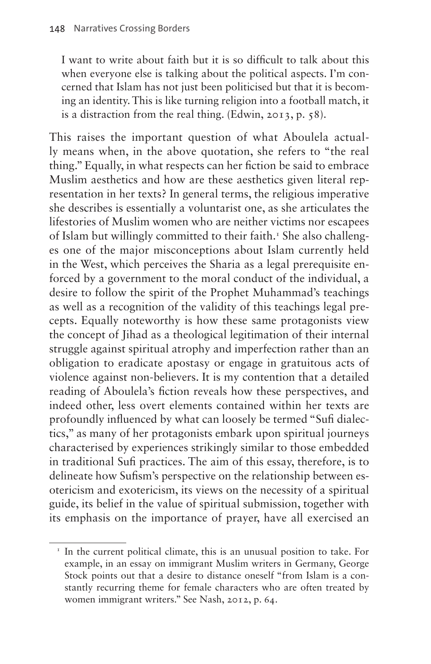I want to write about faith but it is so difficult to talk about this when everyone else is talking about the political aspects. I'm concerned that Islam has not just been politicised but that it is becoming an identity. This is like turning religion into a football match, it is a distraction from the real thing. (Edwin, 2013, p. 58).

This raises the important question of what Aboulela actually means when, in the above quotation, she refers to "the real thing." Equally, in what respects can her fiction be said to embrace Muslim aesthetics and how are these aesthetics given literal representation in her texts? In general terms, the religious imperative she describes is essentially a voluntarist one, as she articulates the lifestories of Muslim women who are neither victims nor escapees of Islam but willingly committed to their faith.<sup>1</sup> She also challenges one of the major misconceptions about Islam currently held in the West, which perceives the Sharia as a legal prerequisite enforced by a government to the moral conduct of the individual, a desire to follow the spirit of the Prophet Muhammad's teachings as well as a recognition of the validity of this teachings legal precepts. Equally noteworthy is how these same protagonists view the concept of Jihad as a theological legitimation of their internal struggle against spiritual atrophy and imperfection rather than an obligation to eradicate apostasy or engage in gratuitous acts of violence against non-believers. It is my contention that a detailed reading of Aboulela's fiction reveals how these perspectives, and indeed other, less overt elements contained within her texts are profoundly influenced by what can loosely be termed "Sufi dialectics," as many of her protagonists embark upon spiritual journeys characterised by experiences strikingly similar to those embedded in traditional Sufi practices. The aim of this essay, therefore, is to delineate how Sufism's perspective on the relationship between esotericism and exotericism, its views on the necessity of a spiritual guide, its belief in the value of spiritual submission, together with its emphasis on the importance of prayer, have all exercised an

<span id="page-3-0"></span><sup>&</sup>lt;sup>1</sup> In the current political climate, this is an unusual position to take. For example, in an essay on immigrant Muslim writers in Germany, George Stock points out that a desire to distance oneself "from Islam is a constantly recurring theme for female characters who are often treated by women immigrant writers." See Nash, 2012, p. 64.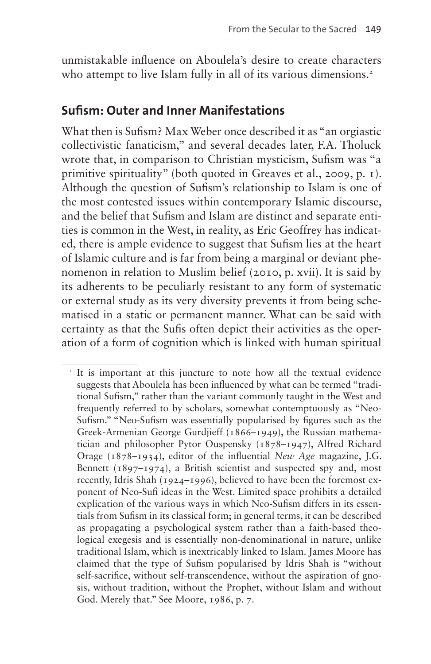unmistakable influence on Aboulela's desire to create characters who attempt to live Islam fully in all of its various dimensions.<sup>2</sup>

#### **Sufism: Outer and Inner Manifestations**

What then is Sufism? Max Weber once described it as "an orgiastic collectivistic fanaticism," and several decades later, F.A. Tholuck wrote that, in comparison to Christian mysticism, Sufism was "a primitive spirituality" (both quoted in Greaves et al., 2009, p. 1). Although the question of Sufism's relationship to Islam is one of the most contested issues within contemporary Islamic discourse, and the belief that Sufism and Islam are distinct and separate entities is common in the West, in reality, as Eric Geoffrey has indicated, there is ample evidence to suggest that Sufism lies at the heart of Islamic culture and is far from being a marginal or deviant phenomenon in relation to Muslim belief (2010, p. xvii). It is said by its adherents to be peculiarly resistant to any form of systematic or external study as its very diversity prevents it from being schematised in a static or permanent manner. What can be said with certainty as that the Sufis often depict their activities as the operation of a form of cognition which is linked with human spiritual

<span id="page-4-0"></span><sup>&</sup>lt;sup>2</sup> It is important at this juncture to note how all the textual evidence suggests that Aboulela has been influenced by what can be termed "traditional Sufism," rather than the variant commonly taught in the West and frequently referred to by scholars, somewhat contemptuously as "Neo-Sufism." "Neo-Sufism was essentially popularised by figures such as the Greek-Armenian George Gurdjieff (1866–1949), the Russian mathematician and philosopher Pytor Ouspensky (1878–1947), Alfred Richard Orage (1878–1934), editor of the influential *New Age* magazine, J.G. Bennett (1897–1974), a British scientist and suspected spy and, most recently, Idris Shah (1924–1996), believed to have been the foremost exponent of Neo-Sufi ideas in the West. Limited space prohibits a detailed explication of the various ways in which Neo-Sufism differs in its essentials from Sufism in its classical form; in general terms, it can be described as propagating a psychological system rather than a faith-based theological exegesis and is essentially non-denominational in nature, unlike traditional Islam, which is inextricably linked to Islam. James Moore has claimed that the type of Sufism popularised by Idris Shah is "without self-sacrifice, without self-transcendence, without the aspiration of gnosis, without tradition, without the Prophet, without Islam and without God. Merely that." See Moore, 1986, p. 7.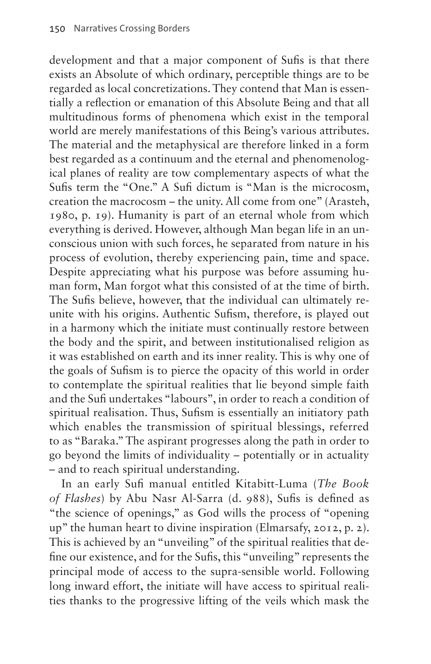development and that a major component of Sufis is that there exists an Absolute of which ordinary, perceptible things are to be regarded as local concretizations. They contend that Man is essentially a reflection or emanation of this Absolute Being and that all multitudinous forms of phenomena which exist in the temporal world are merely manifestations of this Being's various attributes. The material and the metaphysical are therefore linked in a form best regarded as a continuum and the eternal and phenomenological planes of reality are tow complementary aspects of what the Sufis term the "One." A Sufi dictum is "Man is the microcosm, creation the macrocosm – the unity. All come from one" (Arasteh, 1980, p. 19). Humanity is part of an eternal whole from which everything is derived. However, although Man began life in an unconscious union with such forces, he separated from nature in his process of evolution, thereby experiencing pain, time and space. Despite appreciating what his purpose was before assuming human form, Man forgot what this consisted of at the time of birth. The Sufis believe, however, that the individual can ultimately reunite with his origins. Authentic Sufism, therefore, is played out in a harmony which the initiate must continually restore between the body and the spirit, and between institutionalised religion as it was established on earth and its inner reality. This is why one of the goals of Sufism is to pierce the opacity of this world in order to contemplate the spiritual realities that lie beyond simple faith and the Sufi undertakes "labours'', in order to reach a condition of spiritual realisation. Thus, Sufism is essentially an initiatory path which enables the transmission of spiritual blessings, referred to as "Baraka." The aspirant progresses along the path in order to go beyond the limits of individuality – potentially or in actuality – and to reach spiritual understanding.

In an early Sufi manual entitled Kitabitt-Luma (*The Book of Flashes*) by Abu Nasr Al-Sarra (d. 988), Sufis is defined as "the science of openings," as God wills the process of "opening up" the human heart to divine inspiration (Elmarsafy, 2012, p. 2). This is achieved by an "unveiling" of the spiritual realities that define our existence, and for the Sufis, this "unveiling" represents the principal mode of access to the supra-sensible world. Following long inward effort, the initiate will have access to spiritual realities thanks to the progressive lifting of the veils which mask the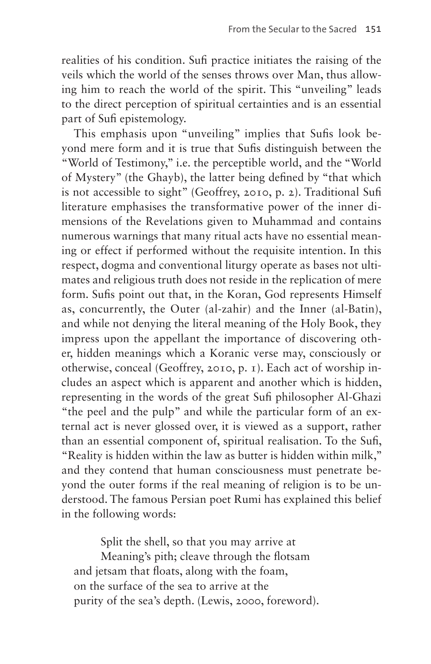realities of his condition. Sufi practice initiates the raising of the veils which the world of the senses throws over Man, thus allowing him to reach the world of the spirit. This "unveiling" leads to the direct perception of spiritual certainties and is an essential part of Sufi epistemology.

This emphasis upon "unveiling" implies that Sufis look beyond mere form and it is true that Sufis distinguish between the "World of Testimony," i.e. the perceptible world, and the "World of Mystery" (the Ghayb), the latter being defined by "that which is not accessible to sight" (Geoffrey, 2010, p. 2). Traditional Sufi literature emphasises the transformative power of the inner dimensions of the Revelations given to Muhammad and contains numerous warnings that many ritual acts have no essential meaning or effect if performed without the requisite intention. In this respect, dogma and conventional liturgy operate as bases not ultimates and religious truth does not reside in the replication of mere form. Sufis point out that, in the Koran, God represents Himself as, concurrently, the Outer (al-zahir) and the Inner (al-Batin), and while not denying the literal meaning of the Holy Book, they impress upon the appellant the importance of discovering other, hidden meanings which a Koranic verse may, consciously or otherwise, conceal (Geoffrey, 2010, p. 1). Each act of worship includes an aspect which is apparent and another which is hidden, representing in the words of the great Sufi philosopher Al-Ghazi "the peel and the pulp" and while the particular form of an external act is never glossed over, it is viewed as a support, rather than an essential component of, spiritual realisation. To the Sufi, "Reality is hidden within the law as butter is hidden within milk," and they contend that human consciousness must penetrate beyond the outer forms if the real meaning of religion is to be understood. The famous Persian poet Rumi has explained this belief in the following words:

Split the shell, so that you may arrive at Meaning's pith; cleave through the flotsam and jetsam that floats, along with the foam, on the surface of the sea to arrive at the purity of the sea's depth. (Lewis, 2000, foreword).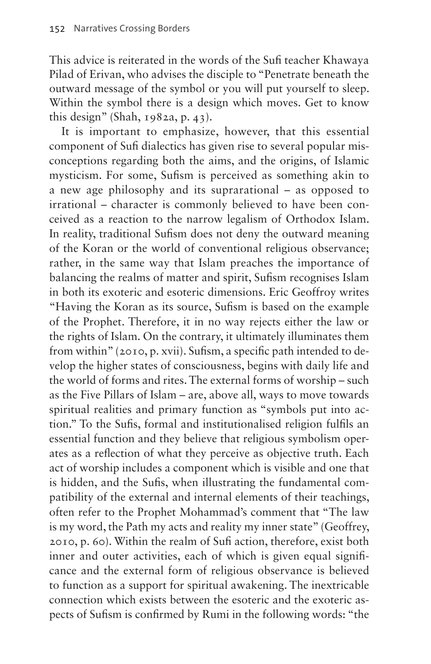This advice is reiterated in the words of the Sufi teacher Khawaya Pilad of Erivan, who advises the disciple to "Penetrate beneath the outward message of the symbol or you will put yourself to sleep. Within the symbol there is a design which moves. Get to know this design" (Shah, 1982a, p. 43).

It is important to emphasize, however, that this essential component of Sufi dialectics has given rise to several popular misconceptions regarding both the aims, and the origins, of Islamic mysticism. For some, Sufism is perceived as something akin to a new age philosophy and its suprarational – as opposed to irrational – character is commonly believed to have been conceived as a reaction to the narrow legalism of Orthodox Islam. In reality, traditional Sufism does not deny the outward meaning of the Koran or the world of conventional religious observance; rather, in the same way that Islam preaches the importance of balancing the realms of matter and spirit, Sufism recognises Islam in both its exoteric and esoteric dimensions. Eric Geoffroy writes "Having the Koran as its source, Sufism is based on the example of the Prophet. Therefore, it in no way rejects either the law or the rights of Islam. On the contrary, it ultimately illuminates them from within" (2010, p. xvii). Sufism, a specific path intended to develop the higher states of consciousness, begins with daily life and the world of forms and rites. The external forms of worship – such as the Five Pillars of Islam – are, above all, ways to move towards spiritual realities and primary function as "symbols put into action." To the Sufis, formal and institutionalised religion fulfils an essential function and they believe that religious symbolism operates as a reflection of what they perceive as objective truth. Each act of worship includes a component which is visible and one that is hidden, and the Sufis, when illustrating the fundamental compatibility of the external and internal elements of their teachings, often refer to the Prophet Mohammad's comment that "The law is my word, the Path my acts and reality my inner state" (Geoffrey, 2010, p. 60). Within the realm of Sufi action, therefore, exist both inner and outer activities, each of which is given equal significance and the external form of religious observance is believed to function as a support for spiritual awakening. The inextricable connection which exists between the esoteric and the exoteric aspects of Sufism is confirmed by Rumi in the following words: "the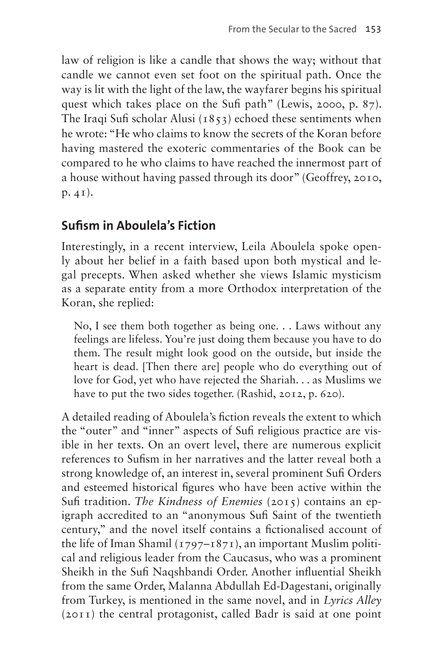law of religion is like a candle that shows the way; without that candle we cannot even set foot on the spiritual path. Once the way is lit with the light of the law, the wayfarer begins his spiritual quest which takes place on the Sufi path" (Lewis, 2000, p. 87). The Iraqi Sufi scholar Alusi  $(1853)$  echoed these sentiments when he wrote: "He who claims to know the secrets of the Koran before having mastered the exoteric commentaries of the Book can be compared to he who claims to have reached the innermost part of a house without having passed through its door" (Geoffrey, 2010, p. 41).

# **Sufism in Aboulela's Fiction**

Interestingly, in a recent interview, Leila Aboulela spoke openly about her belief in a faith based upon both mystical and legal precepts. When asked whether she views Islamic mysticism as a separate entity from a more Orthodox interpretation of the Koran, she replied:

No, I see them both together as being one. . . Laws without any feelings are lifeless. You're just doing them because you have to do them. The result might look good on the outside, but inside the heart is dead. [Then there are] people who do everything out of love for God, yet who have rejected the Shariah. . . as Muslims we have to put the two sides together. (Rashid, 2012, p. 620).

A detailed reading of Aboulela's fiction reveals the extent to which the "outer" and "inner" aspects of Sufi religious practice are visible in her texts. On an overt level, there are numerous explicit references to Sufism in her narratives and the latter reveal both a strong knowledge of, an interest in, several prominent Sufi Orders and esteemed historical figures who have been active within the Sufi tradition. *The Kindness of Enemies* (2015) contains an epigraph accredited to an "anonymous Sufi Saint of the twentieth century," and the novel itself contains a fictionalised account of the life of Iman Shamil  $(1797 - 1871)$ , an important Muslim political and religious leader from the Caucasus, who was a prominent Sheikh in the Sufi Naqshbandi Order. Another influential Sheikh from the same Order, Malanna Abdullah Ed-Dagestani, originally from Turkey, is mentioned in the same novel, and in *Lyrics Alley* (2011) the central protagonist, called Badr is said at one point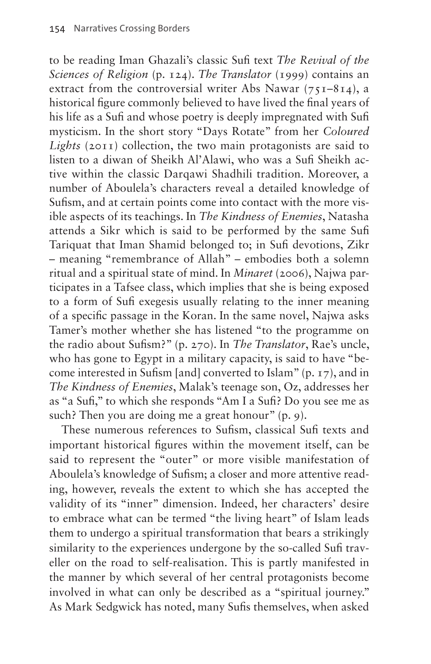to be reading Iman Ghazali's classic Sufi text *The Revival of the Sciences of Religion* (p. 124). *The Translator* (1999) contains an extract from the controversial writer Abs Nawar  $(75I-8I4)$ , a historical figure commonly believed to have lived the final years of his life as a Sufi and whose poetry is deeply impregnated with Sufi mysticism. In the short story "Days Rotate" from her *Coloured Lights* (2011) collection, the two main protagonists are said to listen to a diwan of Sheikh Al'Alawi, who was a Sufi Sheikh active within the classic Darqawi Shadhili tradition. Moreover, a number of Aboulela's characters reveal a detailed knowledge of Sufism, and at certain points come into contact with the more visible aspects of its teachings. In *The Kindness of Enemies*, Natasha attends a Sikr which is said to be performed by the same Sufi Tariquat that Iman Shamid belonged to; in Sufi devotions, Zikr – meaning "remembrance of Allah" – embodies both a solemn ritual and a spiritual state of mind. In *Minaret* (2006), Najwa participates in a Tafsee class, which implies that she is being exposed to a form of Sufi exegesis usually relating to the inner meaning of a specific passage in the Koran. In the same novel, Najwa asks Tamer's mother whether she has listened "to the programme on the radio about Sufism?" (p. 270). In *The Translator*, Rae's uncle, who has gone to Egypt in a military capacity, is said to have "become interested in Sufism [and] converted to Islam" (p. 17), and in *The Kindness of Enemies*, Malak's teenage son, Oz, addresses her as "a Sufi," to which she responds "Am I a Sufi? Do you see me as such? Then you are doing me a great honour" (p. 9).

These numerous references to Sufism, classical Sufi texts and important historical figures within the movement itself, can be said to represent the "outer" or more visible manifestation of Aboulela's knowledge of Sufism; a closer and more attentive reading, however, reveals the extent to which she has accepted the validity of its "inner" dimension. Indeed, her characters' desire to embrace what can be termed "the living heart" of Islam leads them to undergo a spiritual transformation that bears a strikingly similarity to the experiences undergone by the so-called Sufi traveller on the road to self-realisation. This is partly manifested in the manner by which several of her central protagonists become involved in what can only be described as a "spiritual journey." As Mark Sedgwick has noted, many Sufis themselves, when asked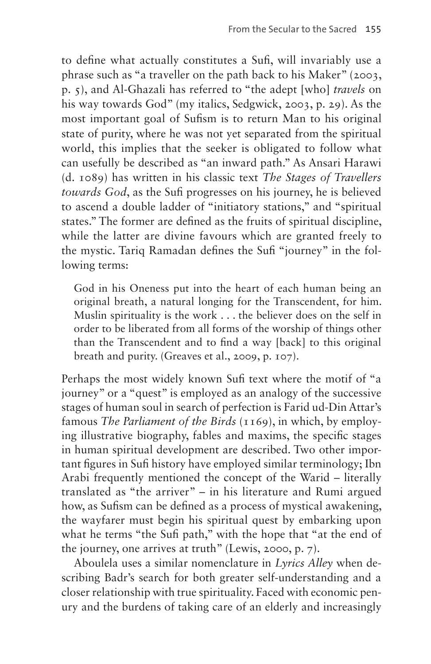to define what actually constitutes a Sufi, will invariably use a phrase such as "a traveller on the path back to his Maker" (2003, p. 5), and Al-Ghazali has referred to "the adept [who] *travels* on his way towards God" (my italics, Sedgwick, 2003, p. 29). As the most important goal of Sufism is to return Man to his original state of purity, where he was not yet separated from the spiritual world, this implies that the seeker is obligated to follow what can usefully be described as "an inward path." As Ansari Harawi (d. 1089) has written in his classic text *The Stages of Travellers towards God*, as the Sufi progresses on his journey, he is believed to ascend a double ladder of "initiatory stations," and "spiritual states." The former are defined as the fruits of spiritual discipline, while the latter are divine favours which are granted freely to the mystic. Tariq Ramadan defines the Sufi "journey" in the following terms:

God in his Oneness put into the heart of each human being an original breath, a natural longing for the Transcendent, for him. Muslin spirituality is the work . . . the believer does on the self in order to be liberated from all forms of the worship of things other than the Transcendent and to find a way [back] to this original breath and purity. (Greaves et al., 2009, p. 107).

Perhaps the most widely known Sufi text where the motif of "a journey" or a "quest" is employed as an analogy of the successive stages of human soul in search of perfection is Farid ud-Din Attar's famous *The Parliament of the Birds* (1169), in which, by employing illustrative biography, fables and maxims, the specific stages in human spiritual development are described. Two other important figures in Sufi history have employed similar terminology; Ibn Arabi frequently mentioned the concept of the Warid – literally translated as "the arriver" – in his literature and Rumi argued how, as Sufism can be defined as a process of mystical awakening, the wayfarer must begin his spiritual quest by embarking upon what he terms "the Sufi path," with the hope that "at the end of the journey, one arrives at truth" (Lewis, 2000, p. 7).

Aboulela uses a similar nomenclature in *Lyrics Alley* when describing Badr's search for both greater self-understanding and a closer relationship with true spirituality. Faced with economic penury and the burdens of taking care of an elderly and increasingly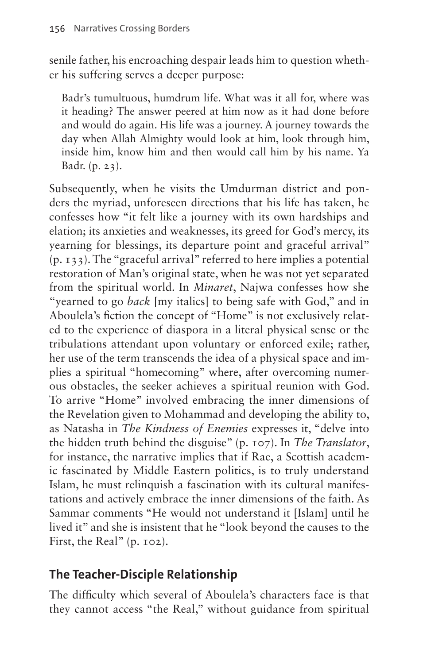senile father, his encroaching despair leads him to question whether his suffering serves a deeper purpose:

Badr's tumultuous, humdrum life. What was it all for, where was it heading? The answer peered at him now as it had done before and would do again. His life was a journey. A journey towards the day when Allah Almighty would look at him, look through him, inside him, know him and then would call him by his name. Ya Badr. (p. 23).

Subsequently, when he visits the Umdurman district and ponders the myriad, unforeseen directions that his life has taken, he confesses how "it felt like a journey with its own hardships and elation; its anxieties and weaknesses, its greed for God's mercy, its yearning for blessings, its departure point and graceful arrival" (p. 133). The "graceful arrival" referred to here implies a potential restoration of Man's original state, when he was not yet separated from the spiritual world. In *Minaret*, Najwa confesses how she "yearned to go *back* [my italics] to being safe with God," and in Aboulela's fiction the concept of "Home" is not exclusively related to the experience of diaspora in a literal physical sense or the tribulations attendant upon voluntary or enforced exile; rather, her use of the term transcends the idea of a physical space and implies a spiritual "homecoming" where, after overcoming numerous obstacles, the seeker achieves a spiritual reunion with God. To arrive "Home" involved embracing the inner dimensions of the Revelation given to Mohammad and developing the ability to, as Natasha in *The Kindness of Enemies* expresses it, "delve into the hidden truth behind the disguise" (p. 107). In *The Translator*, for instance, the narrative implies that if Rae, a Scottish academic fascinated by Middle Eastern politics, is to truly understand Islam, he must relinquish a fascination with its cultural manifestations and actively embrace the inner dimensions of the faith. As Sammar comments "He would not understand it [Islam] until he lived it" and she is insistent that he "look beyond the causes to the First, the Real" (p. 102).

# **The Teacher-Disciple Relationship**

The difficulty which several of Aboulela's characters face is that they cannot access "the Real," without guidance from spiritual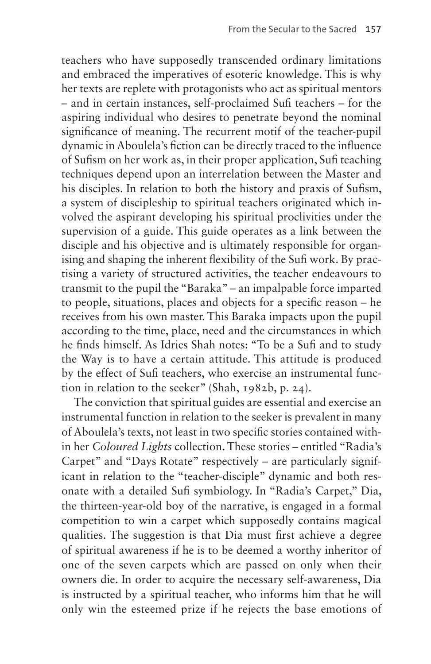teachers who have supposedly transcended ordinary limitations and embraced the imperatives of esoteric knowledge. This is why her texts are replete with protagonists who act as spiritual mentors – and in certain instances, self-proclaimed Sufi teachers – for the aspiring individual who desires to penetrate beyond the nominal significance of meaning. The recurrent motif of the teacher-pupil dynamic in Aboulela's fiction can be directly traced to the influence of Sufism on her work as, in their proper application, Sufi teaching techniques depend upon an interrelation between the Master and his disciples. In relation to both the history and praxis of Sufism, a system of discipleship to spiritual teachers originated which involved the aspirant developing his spiritual proclivities under the supervision of a guide. This guide operates as a link between the disciple and his objective and is ultimately responsible for organising and shaping the inherent flexibility of the Sufi work. By practising a variety of structured activities, the teacher endeavours to transmit to the pupil the "Baraka" – an impalpable force imparted to people, situations, places and objects for a specific reason – he receives from his own master. This Baraka impacts upon the pupil according to the time, place, need and the circumstances in which he finds himself. As Idries Shah notes: "To be a Sufi and to study the Way is to have a certain attitude. This attitude is produced by the effect of Sufi teachers, who exercise an instrumental function in relation to the seeker" (Shah, 1982b, p. 24).

The conviction that spiritual guides are essential and exercise an instrumental function in relation to the seeker is prevalent in many of Aboulela's texts, not least in two specific stories contained within her *Coloured Lights* collection. These stories – entitled "Radia's Carpet" and "Days Rotate" respectively – are particularly significant in relation to the "teacher-disciple" dynamic and both resonate with a detailed Sufi symbiology. In "Radia's Carpet," Dia, the thirteen-year-old boy of the narrative, is engaged in a formal competition to win a carpet which supposedly contains magical qualities. The suggestion is that Dia must first achieve a degree of spiritual awareness if he is to be deemed a worthy inheritor of one of the seven carpets which are passed on only when their owners die. In order to acquire the necessary self-awareness, Dia is instructed by a spiritual teacher, who informs him that he will only win the esteemed prize if he rejects the base emotions of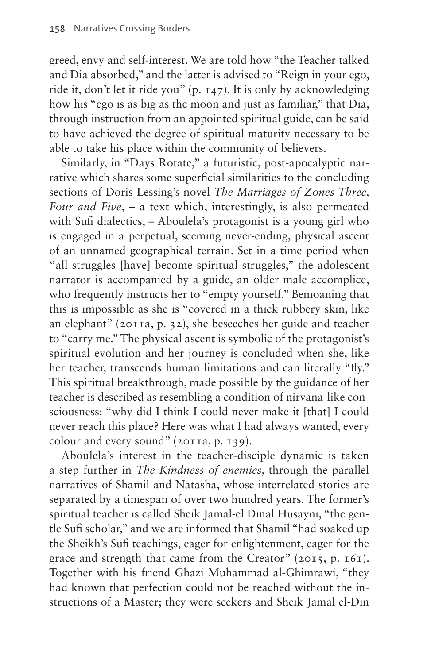greed, envy and self-interest. We are told how "the Teacher talked and Dia absorbed," and the latter is advised to "Reign in your ego, ride it, don't let it ride you" (p. 147). It is only by acknowledging how his "ego is as big as the moon and just as familiar," that Dia, through instruction from an appointed spiritual guide, can be said to have achieved the degree of spiritual maturity necessary to be able to take his place within the community of believers.

Similarly, in "Days Rotate," a futuristic, post-apocalyptic narrative which shares some superficial similarities to the concluding sections of Doris Lessing's novel *The Marriages of Zones Three, Four and Five*, – a text which, interestingly, is also permeated with Sufi dialectics, – Aboulela's protagonist is a young girl who is engaged in a perpetual, seeming never-ending, physical ascent of an unnamed geographical terrain. Set in a time period when "all struggles [have] become spiritual struggles," the adolescent narrator is accompanied by a guide, an older male accomplice, who frequently instructs her to "empty yourself." Bemoaning that this is impossible as she is "covered in a thick rubbery skin, like an elephant" (2011a, p. 32), she beseeches her guide and teacher to "carry me." The physical ascent is symbolic of the protagonist's spiritual evolution and her journey is concluded when she, like her teacher, transcends human limitations and can literally "fly." This spiritual breakthrough, made possible by the guidance of her teacher is described as resembling a condition of nirvana-like consciousness: "why did I think I could never make it [that] I could never reach this place? Here was what I had always wanted, every colour and every sound" (2011a, p. 139).

Aboulela's interest in the teacher-disciple dynamic is taken a step further in *The Kindness of enemies*, through the parallel narratives of Shamil and Natasha, whose interrelated stories are separated by a timespan of over two hundred years. The former's spiritual teacher is called Sheik Jamal-el Dinal Husayni, "the gentle Sufi scholar," and we are informed that Shamil "had soaked up the Sheikh's Sufi teachings, eager for enlightenment, eager for the grace and strength that came from the Creator" (2015, p. 161). Together with his friend Ghazi Muhammad al-Ghimrawi, "they had known that perfection could not be reached without the instructions of a Master; they were seekers and Sheik Jamal el-Din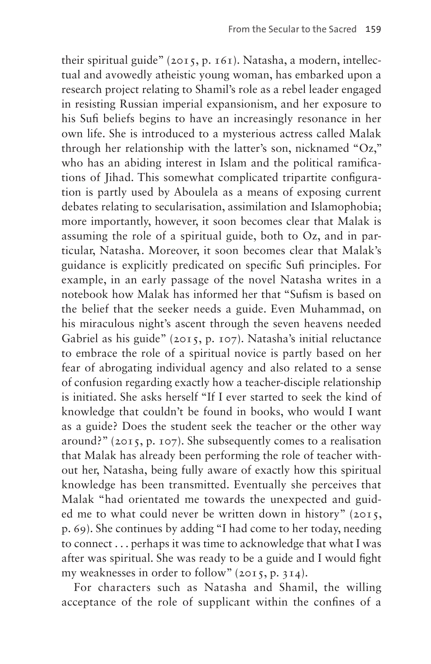their spiritual guide" (2015, p. 161). Natasha, a modern, intellectual and avowedly atheistic young woman, has embarked upon a research project relating to Shamil's role as a rebel leader engaged in resisting Russian imperial expansionism, and her exposure to his Sufi beliefs begins to have an increasingly resonance in her own life. She is introduced to a mysterious actress called Malak through her relationship with the latter's son, nicknamed "Oz," who has an abiding interest in Islam and the political ramifications of Jihad. This somewhat complicated tripartite configuration is partly used by Aboulela as a means of exposing current debates relating to secularisation, assimilation and Islamophobia; more importantly, however, it soon becomes clear that Malak is assuming the role of a spiritual guide, both to Oz, and in particular, Natasha. Moreover, it soon becomes clear that Malak's guidance is explicitly predicated on specific Sufi principles. For example, in an early passage of the novel Natasha writes in a notebook how Malak has informed her that "Sufism is based on the belief that the seeker needs a guide. Even Muhammad, on his miraculous night's ascent through the seven heavens needed Gabriel as his guide" (2015, p. 107). Natasha's initial reluctance to embrace the role of a spiritual novice is partly based on her fear of abrogating individual agency and also related to a sense of confusion regarding exactly how a teacher-disciple relationship is initiated. She asks herself "If I ever started to seek the kind of knowledge that couldn't be found in books, who would I want as a guide? Does the student seek the teacher or the other way around?" (2015, p. 107). She subsequently comes to a realisation that Malak has already been performing the role of teacher without her, Natasha, being fully aware of exactly how this spiritual knowledge has been transmitted. Eventually she perceives that Malak "had orientated me towards the unexpected and guided me to what could never be written down in history" (2015, p. 69). She continues by adding "I had come to her today, needing to connect . . . perhaps it was time to acknowledge that what I was after was spiritual. She was ready to be a guide and I would fight my weaknesses in order to follow" (2015, p. 314).

For characters such as Natasha and Shamil, the willing acceptance of the role of supplicant within the confines of a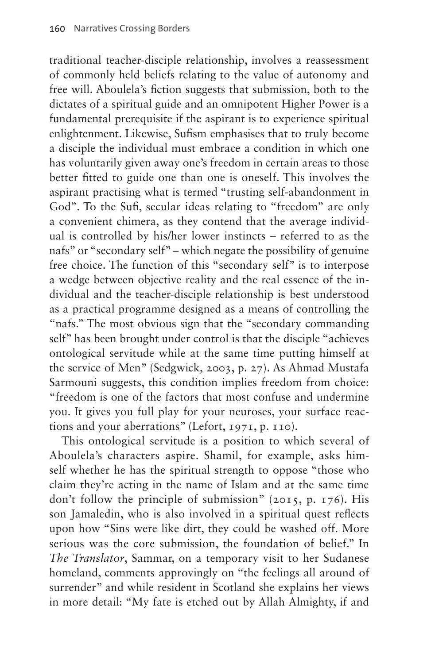traditional teacher-disciple relationship, involves a reassessment of commonly held beliefs relating to the value of autonomy and free will. Aboulela's fiction suggests that submission, both to the dictates of a spiritual guide and an omnipotent Higher Power is a fundamental prerequisite if the aspirant is to experience spiritual enlightenment. Likewise, Sufism emphasises that to truly become a disciple the individual must embrace a condition in which one has voluntarily given away one's freedom in certain areas to those better fitted to guide one than one is oneself. This involves the aspirant practising what is termed "trusting self-abandonment in God''. To the Sufi, secular ideas relating to "freedom'' are only a convenient chimera, as they contend that the average individual is controlled by his/her lower instincts – referred to as the nafs" or "secondary self" – which negate the possibility of genuine free choice. The function of this "secondary self" is to interpose a wedge between objective reality and the real essence of the individual and the teacher-disciple relationship is best understood as a practical programme designed as a means of controlling the "nafs." The most obvious sign that the "secondary commanding self" has been brought under control is that the disciple "achieves ontological servitude while at the same time putting himself at the service of Men" (Sedgwick, 2003, p. 27). As Ahmad Mustafa Sarmouni suggests, this condition implies freedom from choice: "freedom is one of the factors that most confuse and undermine you. It gives you full play for your neuroses, your surface reactions and your aberrations" (Lefort, 1971, p. 110).

This ontological servitude is a position to which several of Aboulela's characters aspire. Shamil, for example, asks himself whether he has the spiritual strength to oppose "those who claim they're acting in the name of Islam and at the same time don't follow the principle of submission" (2015, p. 176). His son Jamaledin, who is also involved in a spiritual quest reflects upon how "Sins were like dirt, they could be washed off. More serious was the core submission, the foundation of belief." In *The Translator*, Sammar, on a temporary visit to her Sudanese homeland, comments approvingly on "the feelings all around of surrender" and while resident in Scotland she explains her views in more detail: "My fate is etched out by Allah Almighty, if and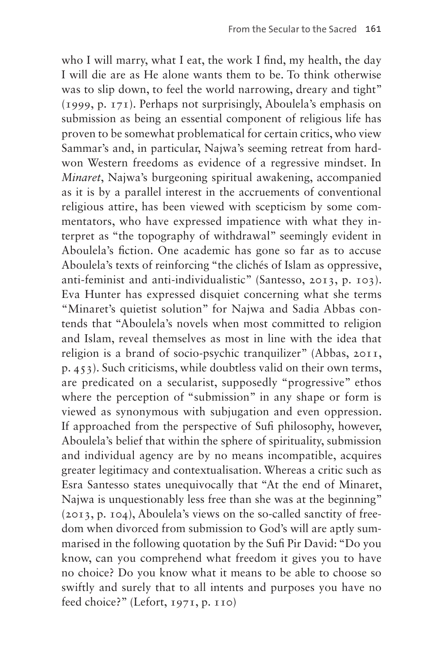who I will marry, what I eat, the work I find, my health, the day I will die are as He alone wants them to be. To think otherwise was to slip down, to feel the world narrowing, dreary and tight" (1999, p. 171). Perhaps not surprisingly, Aboulela's emphasis on submission as being an essential component of religious life has proven to be somewhat problematical for certain critics, who view Sammar's and, in particular, Najwa's seeming retreat from hardwon Western freedoms as evidence of a regressive mindset. In *Minaret*, Najwa's burgeoning spiritual awakening, accompanied as it is by a parallel interest in the accruements of conventional religious attire, has been viewed with scepticism by some commentators, who have expressed impatience with what they interpret as "the topography of withdrawal" seemingly evident in Aboulela's fiction. One academic has gone so far as to accuse Aboulela's texts of reinforcing "the clichés of Islam as oppressive, anti-feminist and anti-individualistic" (Santesso, 2013, p. 103). Eva Hunter has expressed disquiet concerning what she terms "Minaret's quietist solution" for Najwa and Sadia Abbas contends that "Aboulela's novels when most committed to religion and Islam, reveal themselves as most in line with the idea that religion is a brand of socio-psychic tranquilizer" (Abbas, 2011, p. 453). Such criticisms, while doubtless valid on their own terms, are predicated on a secularist, supposedly "progressive" ethos where the perception of "submission" in any shape or form is viewed as synonymous with subjugation and even oppression. If approached from the perspective of Sufi philosophy, however, Aboulela's belief that within the sphere of spirituality, submission and individual agency are by no means incompatible, acquires greater legitimacy and contextualisation. Whereas a critic such as Esra Santesso states unequivocally that "At the end of Minaret, Najwa is unquestionably less free than she was at the beginning" (2013, p. 104), Aboulela's views on the so-called sanctity of freedom when divorced from submission to God's will are aptly summarised in the following quotation by the Sufi Pir David: "Do you know, can you comprehend what freedom it gives you to have no choice? Do you know what it means to be able to choose so swiftly and surely that to all intents and purposes you have no feed choice?" (Lefort, 1971, p. 110)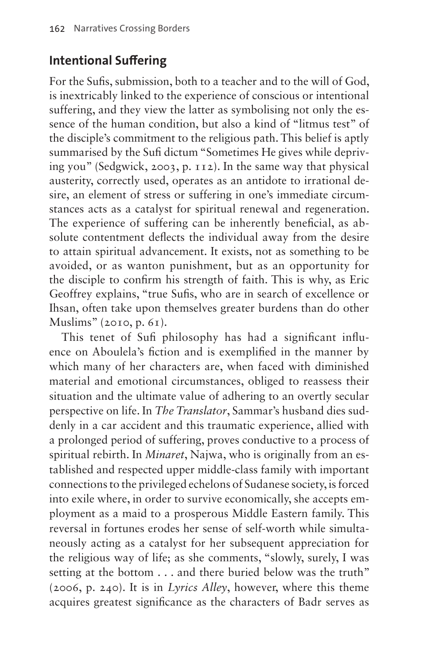# **Intentional Suffering**

For the Sufis, submission, both to a teacher and to the will of God, is inextricably linked to the experience of conscious or intentional suffering, and they view the latter as symbolising not only the essence of the human condition, but also a kind of "litmus test" of the disciple's commitment to the religious path. This belief is aptly summarised by the Sufi dictum "Sometimes He gives while depriving you" (Sedgwick, 2003, p. 112). In the same way that physical austerity, correctly used, operates as an antidote to irrational desire, an element of stress or suffering in one's immediate circumstances acts as a catalyst for spiritual renewal and regeneration. The experience of suffering can be inherently beneficial, as absolute contentment deflects the individual away from the desire to attain spiritual advancement. It exists, not as something to be avoided, or as wanton punishment, but as an opportunity for the disciple to confirm his strength of faith. This is why, as Eric Geoffrey explains, "true Sufis, who are in search of excellence or Ihsan, often take upon themselves greater burdens than do other Muslims" (2010, p. 61).

This tenet of Sufi philosophy has had a significant influence on Aboulela's fiction and is exemplified in the manner by which many of her characters are, when faced with diminished material and emotional circumstances, obliged to reassess their situation and the ultimate value of adhering to an overtly secular perspective on life. In *The Translator*, Sammar's husband dies suddenly in a car accident and this traumatic experience, allied with a prolonged period of suffering, proves conductive to a process of spiritual rebirth. In *Minaret*, Najwa, who is originally from an established and respected upper middle-class family with important connections to the privileged echelons of Sudanese society, is forced into exile where, in order to survive economically, she accepts employment as a maid to a prosperous Middle Eastern family. This reversal in fortunes erodes her sense of self-worth while simultaneously acting as a catalyst for her subsequent appreciation for the religious way of life; as she comments, "slowly, surely, I was setting at the bottom . . . and there buried below was the truth" (2006, p. 240). It is in *Lyrics Alley*, however, where this theme acquires greatest significance as the characters of Badr serves as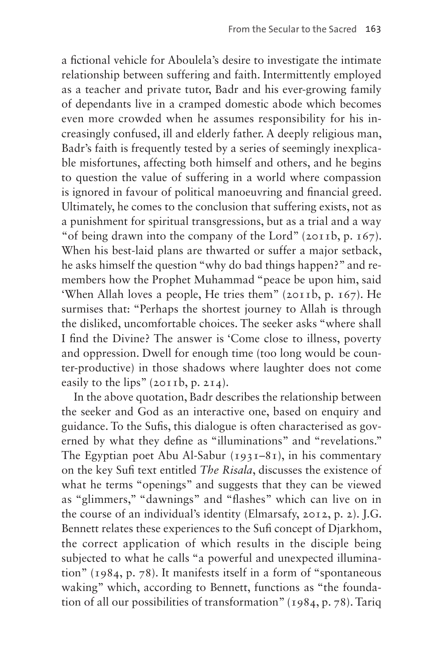a fictional vehicle for Aboulela's desire to investigate the intimate relationship between suffering and faith. Intermittently employed as a teacher and private tutor, Badr and his ever-growing family of dependants live in a cramped domestic abode which becomes even more crowded when he assumes responsibility for his increasingly confused, ill and elderly father. A deeply religious man, Badr's faith is frequently tested by a series of seemingly inexplicable misfortunes, affecting both himself and others, and he begins to question the value of suffering in a world where compassion is ignored in favour of political manoeuvring and financial greed. Ultimately, he comes to the conclusion that suffering exists, not as a punishment for spiritual transgressions, but as a trial and a way "of being drawn into the company of the Lord" (2011b, p. 167). When his best-laid plans are thwarted or suffer a major setback, he asks himself the question "why do bad things happen?" and remembers how the Prophet Muhammad "peace be upon him, said 'When Allah loves a people, He tries them" (2011b, p. 167). He surmises that: "Perhaps the shortest journey to Allah is through the disliked, uncomfortable choices. The seeker asks "where shall I find the Divine? The answer is 'Come close to illness, poverty and oppression. Dwell for enough time (too long would be counter-productive) in those shadows where laughter does not come easily to the lips"  $(2011b, p. 214)$ .

In the above quotation, Badr describes the relationship between the seeker and God as an interactive one, based on enquiry and guidance. To the Sufis, this dialogue is often characterised as governed by what they define as "illuminations" and "revelations." The Egyptian poet Abu Al-Sabur  $(1931-81)$ , in his commentary on the key Sufi text entitled *The Risala*, discusses the existence of what he terms "openings" and suggests that they can be viewed as "glimmers," "dawnings" and "flashes" which can live on in the course of an individual's identity (Elmarsafy, 2012, p. 2). J.G. Bennett relates these experiences to the Sufi concept of Djarkhom, the correct application of which results in the disciple being subjected to what he calls "a powerful and unexpected illumination" (1984, p. 78). It manifests itself in a form of "spontaneous waking" which, according to Bennett, functions as "the foundation of all our possibilities of transformation" (1984, p. 78). Tariq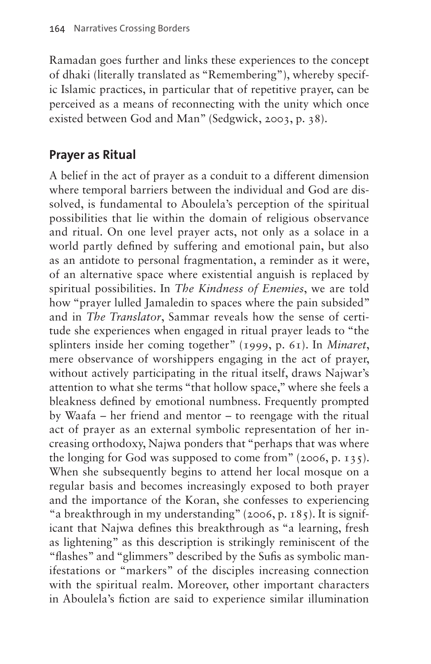Ramadan goes further and links these experiences to the concept of dhaki (literally translated as "Remembering"), whereby specific Islamic practices, in particular that of repetitive prayer, can be perceived as a means of reconnecting with the unity which once existed between God and Man" (Sedgwick, 2003, p. 38).

### **Prayer as Ritual**

A belief in the act of prayer as a conduit to a different dimension where temporal barriers between the individual and God are dissolved, is fundamental to Aboulela's perception of the spiritual possibilities that lie within the domain of religious observance and ritual. On one level prayer acts, not only as a solace in a world partly defined by suffering and emotional pain, but also as an antidote to personal fragmentation, a reminder as it were, of an alternative space where existential anguish is replaced by spiritual possibilities. In *The Kindness of Enemies*, we are told how "prayer lulled Jamaledin to spaces where the pain subsided" and in *The Translator*, Sammar reveals how the sense of certitude she experiences when engaged in ritual prayer leads to "the splinters inside her coming together" (1999, p. 61). In *Minaret*, mere observance of worshippers engaging in the act of prayer, without actively participating in the ritual itself, draws Najwar's attention to what she terms "that hollow space," where she feels a bleakness defined by emotional numbness. Frequently prompted by Waafa – her friend and mentor – to reengage with the ritual act of prayer as an external symbolic representation of her increasing orthodoxy, Najwa ponders that "perhaps that was where the longing for God was supposed to come from" (2006, p. 135). When she subsequently begins to attend her local mosque on a regular basis and becomes increasingly exposed to both prayer and the importance of the Koran, she confesses to experiencing "a breakthrough in my understanding" (2006, p. 185). It is significant that Najwa defines this breakthrough as "a learning, fresh as lightening" as this description is strikingly reminiscent of the "flashes" and "glimmers" described by the Sufis as symbolic manifestations or "markers" of the disciples increasing connection with the spiritual realm. Moreover, other important characters in Aboulela's fiction are said to experience similar illumination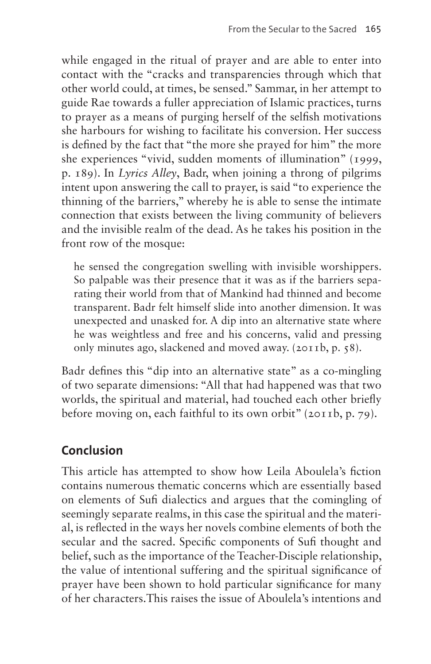while engaged in the ritual of prayer and are able to enter into contact with the "cracks and transparencies through which that other world could, at times, be sensed." Sammar, in her attempt to guide Rae towards a fuller appreciation of Islamic practices, turns to prayer as a means of purging herself of the selfish motivations she harbours for wishing to facilitate his conversion. Her success is defined by the fact that "the more she prayed for him" the more she experiences "vivid, sudden moments of illumination" (1999, p. 189). In *Lyrics Alley*, Badr, when joining a throng of pilgrims intent upon answering the call to prayer, is said "to experience the thinning of the barriers," whereby he is able to sense the intimate connection that exists between the living community of believers and the invisible realm of the dead. As he takes his position in the front row of the mosque:

he sensed the congregation swelling with invisible worshippers. So palpable was their presence that it was as if the barriers separating their world from that of Mankind had thinned and become transparent. Badr felt himself slide into another dimension. It was unexpected and unasked for. A dip into an alternative state where he was weightless and free and his concerns, valid and pressing only minutes ago, slackened and moved away. (2011b, p. 58).

Badr defines this "dip into an alternative state" as a co-mingling of two separate dimensions: "All that had happened was that two worlds, the spiritual and material, had touched each other briefly before moving on, each faithful to its own orbit" (2011b, p. 79).

# **Conclusion**

This article has attempted to show how Leila Aboulela's fiction contains numerous thematic concerns which are essentially based on elements of Sufi dialectics and argues that the comingling of seemingly separate realms, in this case the spiritual and the material, is reflected in the ways her novels combine elements of both the secular and the sacred. Specific components of Sufi thought and belief, such as the importance of the Teacher-Disciple relationship, the value of intentional suffering and the spiritual significance of prayer have been shown to hold particular significance for many of her characters.This raises the issue of Aboulela's intentions and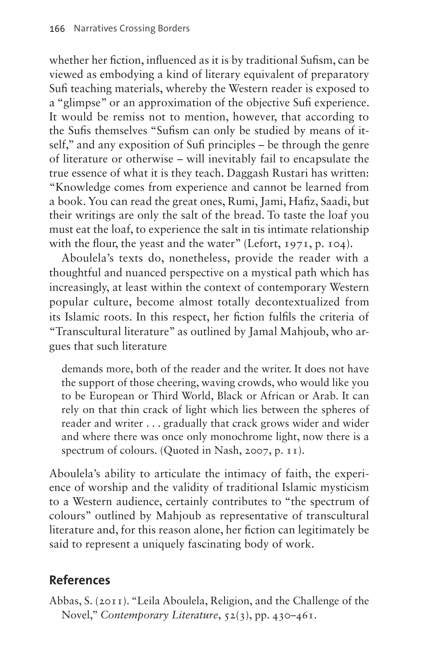whether her fiction, influenced as it is by traditional Sufism, can be viewed as embodying a kind of literary equivalent of preparatory Sufi teaching materials, whereby the Western reader is exposed to a "glimpse" or an approximation of the objective Sufi experience. It would be remiss not to mention, however, that according to the Sufis themselves "Sufism can only be studied by means of itself," and any exposition of Sufi principles – be through the genre of literature or otherwise – will inevitably fail to encapsulate the true essence of what it is they teach. Daggash Rustari has written: "Knowledge comes from experience and cannot be learned from a book. You can read the great ones, Rumi, Jami, Hafiz, Saadi, but their writings are only the salt of the bread. To taste the loaf you must eat the loaf, to experience the salt in tis intimate relationship with the flour, the yeast and the water" (Lefort, 1971, p. 104).

Aboulela's texts do, nonetheless, provide the reader with a thoughtful and nuanced perspective on a mystical path which has increasingly, at least within the context of contemporary Western popular culture, become almost totally decontextualized from its Islamic roots. In this respect, her fiction fulfils the criteria of "Transcultural literature" as outlined by Jamal Mahjoub, who argues that such literature

demands more, both of the reader and the writer. It does not have the support of those cheering, waving crowds, who would like you to be European or Third World, Black or African or Arab. It can rely on that thin crack of light which lies between the spheres of reader and writer . . . gradually that crack grows wider and wider and where there was once only monochrome light, now there is a spectrum of colours. (Quoted in Nash, 2007, p. 11).

Aboulela's ability to articulate the intimacy of faith, the experience of worship and the validity of traditional Islamic mysticism to a Western audience, certainly contributes to "the spectrum of colours" outlined by Mahjoub as representative of transcultural literature and, for this reason alone, her fiction can legitimately be said to represent a uniquely fascinating body of work.

# **References**

Abbas, S. (2011). "Leila Aboulela, Religion, and the Challenge of the Novel," *Contemporary Literature*, 52(3), pp. 430–461.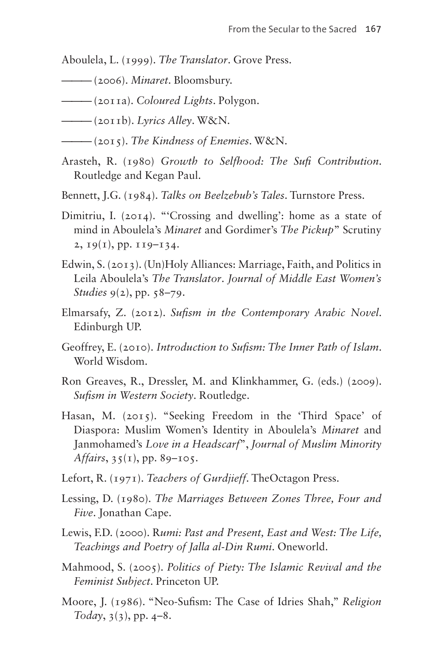Aboulela, L. (1999). *The Translator*. Grove Press.

- ——— (2006). *Minaret*. Bloomsbury.
- ——— (2011a). *Coloured Lights*. Polygon.
- ——— (2011b). *Lyrics Alley*. W&N.
- ——— (2015). *The Kindness of Enemies*. W&N.
- Arasteh, R. (1980) *Growth to Selfhood: The Sufi Contribution*. Routledge and Kegan Paul.
- Bennett, J.G. (1984). *Talks on Beelzebub's Tales*. Turnstore Press.
- Dimitriu, I. (2014). "Crossing and dwelling': home as a state of mind in Aboulela's *Minaret* and Gordimer's *The Pickup*" Scrutiny 2,  $19(1)$ , pp.  $119-134$ .
- Edwin, S. (2013). (Un)Holy Alliances: Marriage, Faith, and Politics in Leila Aboulela's *The Translator*. *Journal of Middle East Women's Studies* 9(2), pp. 58–79.
- Elmarsafy, Z. (2012). *Sufism in the Contemporary Arabic Novel*. Edinburgh UP.
- Geoffrey, E. (2010). *Introduction to Sufism: The Inner Path of Islam*. World Wisdom.
- Ron Greaves, R., Dressler, M. and Klinkhammer, G. (eds.) (2009). *Sufism in Western Society*. Routledge.
- Hasan, M. (2015). "Seeking Freedom in the 'Third Space' of Diaspora: Muslim Women's Identity in Aboulela's *Minaret* and Janmohamed's *Love in a Headscarf*", *Journal of Muslim Minority Affairs*, 35(1), pp. 89–105.
- Lefort, R. (1971). *Teachers of Gurdjieff*. TheOctagon Press.
- Lessing, D. (1980). *The Marriages Between Zones Three, Four and Five*. Jonathan Cape.
- Lewis, F.D. (2000). R*umi: Past and Present, East and West: The Life, Teachings and Poetry of Jalla al-Din Rumi*. Oneworld.
- Mahmood, S. (2005). *Politics of Piety: The Islamic Revival and the Feminist Subject*. Princeton UP.
- Moore, J. (1986). "Neo-Sufism: The Case of Idries Shah," *Religion Today*, 3(3), pp. 4–8.